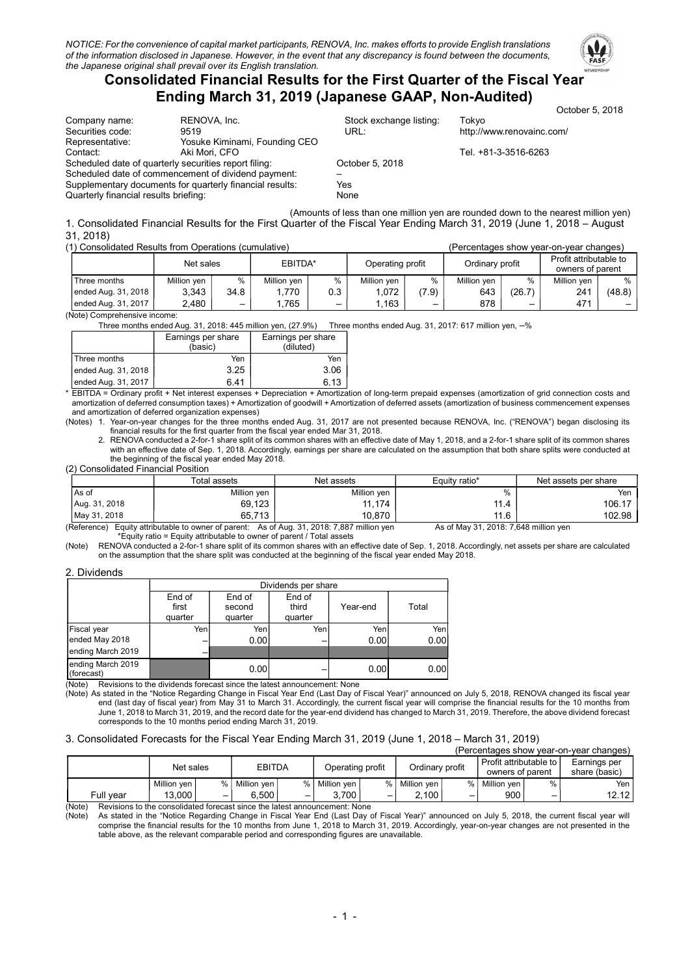

# Consolidated Financial Results for the First Quarter of the Fiscal Year Ending March 31, 2019 (Japanese GAAP, Non-Audited)

|                                       |                                                          |                         | October 5, 2018           |
|---------------------------------------|----------------------------------------------------------|-------------------------|---------------------------|
| Company name:                         | RENOVA, Inc.                                             | Stock exchange listing: | Tokvo                     |
| Securities code:                      | 9519                                                     | URL:                    | http://www.renovainc.com/ |
| Representative:                       | Yosuke Kiminami, Founding CEO                            |                         |                           |
| Contact:                              | Aki Mori, CFO                                            |                         | Tel. +81-3-3516-6263      |
|                                       | Scheduled date of quarterly securities report filing:    | October 5, 2018         |                           |
|                                       | Scheduled date of commencement of dividend payment:      |                         |                           |
|                                       | Supplementary documents for quarterly financial results: | Yes                     |                           |
| Quarterly financial results briefing: |                                                          | None                    |                           |
|                                       |                                                          |                         |                           |

(Amounts of less than one million yen are rounded down to the nearest million yen) 1. Consolidated Financial Results for the First Quarter of the Fiscal Year Ending March 31, 2019 (June 1, 2018 – August 31, 2018)

| (1) Consolidated Results from Operations (cumulative) |                      |      |             |                  |             |                 | (Percentages show vear-on-vear changes) |                                            |             |        |
|-------------------------------------------------------|----------------------|------|-------------|------------------|-------------|-----------------|-----------------------------------------|--------------------------------------------|-------------|--------|
|                                                       | EBITDA*<br>Net sales |      |             | Operating profit |             | Ordinary profit |                                         | Profit attributable to<br>owners of parent |             |        |
| Three months                                          | Million yen          | $\%$ | Million ven | $\%$             | Million ven | %               | Million ven                             | %                                          | Million ven | %      |
| ended Aug. 31, 2018 1                                 | 3.343                | 34.8 | . 770       | 0.3              | .072        | (7.9)           | 643                                     | (26.7)                                     | 241         | (48.8) |
| ended Aug. 31, 2017                                   | 2,480                | -    | .765        |                  | 1.163       | -               | 878                                     |                                            | 471         |        |

(Note) Comprehensive income:

Three months ended Aug. 31, 2018: 445 million yen, (27.9%) Three months ended Aug. 31, 2017: 617 million yen, –%

|                     | Earnings per share<br>(basic) | Earnings per share<br>(diluted) |  |  |
|---------------------|-------------------------------|---------------------------------|--|--|
| <b>Three months</b> | Yen                           | Yen                             |  |  |
| ended Aug. 31, 2018 | 3.25                          | 3.06                            |  |  |
| ended Aug. 31, 2017 | 641                           | 6.13                            |  |  |

\* EBITDA = Ordinary profit + Net interest expenses + Depreciation + Amortization of long-term prepaid expenses (amortization of grid connection costs and amortization of deferred consumption taxes) + Amortization of goodwill + Amortization of deferred assets (amortization of business commencement expenses and amortization of deferred organization expenses)

(Notes) 1. Year-on-year changes for the three months ended Aug. 31, 2017 are not presented because RENOVA, Inc. ("RENOVA") began disclosing its financial results for the first quarter from the fiscal year ended Mar 31, 2018.

2. RENOVA conducted a 2-for-1 share split of its common shares with an effective date of May 1, 2018, and a 2-for-1 share split of its common shares with an effective date of Sep. 1, 2018. Accordingly, earnings per share are calculated on the assumption that both share splits were conducted at the beginning of the fiscal year ended May 2018.

(2) Consolidated Financial Position

|               | Total assets                                        | Net assets                                                 | Equity ratio*                                    | Net assets per share |
|---------------|-----------------------------------------------------|------------------------------------------------------------|--------------------------------------------------|----------------------|
| l As of       | Million ven                                         | Million yen                                                | %                                                | Yen                  |
| Aug. 31, 2018 | 69.123                                              | 11.174                                                     | 11.4                                             | 106.17               |
| May 31, 2018  | 65.713                                              | 10.870                                                     | 11.6                                             | 102.98               |
|               | $(Doforana)$ Equity officiately to owner of percent | $A_0$ of $A_{11}$ and $24$ $2019 \cdot 7997$ million $100$ | $A_0$ of $M_0$ $(24.2010.7640$ million $(9.010)$ |                      |

(Reference) Equity attributable to owner of parent: As of Aug. 31, 2018: 7,887 million yen As of May 31, 2018: 7,648 million yen \*Equity ratio = Equity attributable to owner of parent / Total assets

(Note) RENOVA conducted a 2-for-1 share split of its common shares with an effective date of Sep. 1, 2018. Accordingly, net assets per share are calculated on the assumption that the share split was conducted at the beginning of the fiscal year ended May 2018.

|                                 |                            | Dividends per share         |                            |          |       |  |  |  |
|---------------------------------|----------------------------|-----------------------------|----------------------------|----------|-------|--|--|--|
|                                 | End of<br>first<br>quarter | End of<br>second<br>quarter | End of<br>third<br>quarter | Year-end | Total |  |  |  |
| Fiscal year                     | Yen                        | Yen                         | Yen                        | Yenl     | Yen   |  |  |  |
| ended May 2018                  |                            | 0.001                       |                            | 0.001    | 0.00  |  |  |  |
| ending March 2019               |                            |                             |                            |          |       |  |  |  |
| ending March 2019<br>(forecast) |                            | 0.00                        |                            | 0.00     | 0.00  |  |  |  |

(Note) Revisions to the dividends forecast since the latest announcement: None

(Note) As stated in the "Notice Regarding Change in Fiscal Year End (Last Day of Fiscal Year)" announced on July 5, 2018, RENOVA changed its fiscal year end (last day of fiscal year) from May 31 to March 31. Accordingly, the current fiscal year will comprise the financial results for the 10 months from June 1, 2018 to March 31, 2019, and the record date for the year-end dividend has changed to March 31, 2019. Therefore, the above dividend forecast corresponds to the 10 months period ending March 31, 2019.

#### 3. Consolidated Forecasts for the Fiscal Year Ending March 31, 2019 (June 1, 2018 – March 31, 2019)

| (Percentages show year-on-year changes) |             |   |                 |   |                  |                                                                 |             |   |             |                          |                               |
|-----------------------------------------|-------------|---|-----------------|---|------------------|-----------------------------------------------------------------|-------------|---|-------------|--------------------------|-------------------------------|
|                                         | Net sales   |   | <b>EBITDA</b>   |   | Operating profit | Profit attributable to I<br>Ordinary profit<br>owners of parent |             |   |             |                          | Earnings per<br>share (basic) |
|                                         | Million ven |   | %   Million ven | ℅ | Million ven      | $\frac{0}{n}$                                                   | Million ven | % | Million ven | ℅                        | Yen I                         |
| Full vear                               | 13.000      | - | 5.500           |   | 3.700            |                                                                 | 2.100       | – | 900         | $\overline{\phantom{a}}$ | 12.12                         |

(Note) Revisions to the consolidated forecast since the latest announcement: None<br>(Note) As stated in the "Notice Regarding Change in Fiscal Year End (Last Day

(Note) As stated in the "Notice Regarding Change in Fiscal Year End (Last Day of Fiscal Year)" announced on July 5, 2018, the current fiscal year will comprise the financial results for the 10 months from June 1, 2018 to March 31, 2019. Accordingly, year-on-year changes are not presented in the table above, as the relevant comparable period and corresponding figures are unavailable.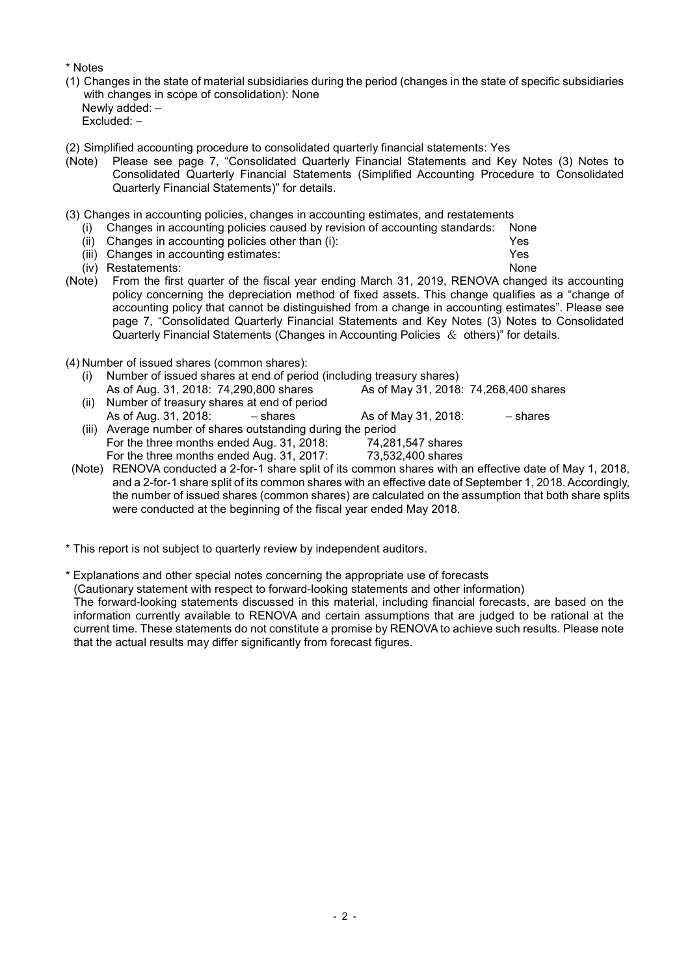\* Notes

- (1) Changes in the state of material subsidiaries during the period (changes in the state of specific subsidiaries with changes in scope of consolidation): None Newly added: – Excluded: –
- (2) Simplified accounting procedure to consolidated quarterly financial statements: Yes
- (Note) Please see page 7, "Consolidated Quarterly Financial Statements and Key Notes (3) Notes to Consolidated Quarterly Financial Statements (Simplified Accounting Procedure to Consolidated Quarterly Financial Statements)" for details.
- (3) Changes in accounting policies, changes in accounting estimates, and restatements
	- (i) Changes in accounting policies caused by revision of accounting standards: None
	- (ii) Changes in accounting policies other than (i): Yes
	- (iii) Changes in accounting estimates: Yes
	- (iv) Restatements: None
- (Note) From the first quarter of the fiscal year ending March 31, 2019, RENOVA changed its accounting policy concerning the depreciation method of fixed assets. This change qualifies as a "change of accounting policy that cannot be distinguished from a change in accounting estimates". Please see page 7, "Consolidated Quarterly Financial Statements and Key Notes (3) Notes to Consolidated Quarterly Financial Statements (Changes in Accounting Policies  $\&$  others)" for details.
- (4) Number of issued shares (common shares):
	- (i) Number of issued shares at end of period (including treasury shares) As of Aug. 31, 2018: 74,290,800 shares (ii) Number of treasury shares at end of period As of Aug.  $31.2018$ :  $-$  shares As of May 31, 2018:  $-$  shares (iii) Average number of shares outstanding during the period For the three months ended Aug. 31, 2018: 74,281,547 shares<br>For the three months ended Aug. 31, 2017: 73.532.400 shares For the three months ended Aug. 31, 2017:
- (Note) RENOVA conducted a 2-for-1 share split of its common shares with an effective date of May 1, 2018, and a 2-for-1 share split of its common shares with an effective date of September 1, 2018. Accordingly, the number of issued shares (common shares) are calculated on the assumption that both share splits were conducted at the beginning of the fiscal year ended May 2018.
- \* This report is not subject to quarterly review by independent auditors.
- \* Explanations and other special notes concerning the appropriate use of forecasts

(Cautionary statement with respect to forward-looking statements and other information)

The forward-looking statements discussed in this material, including financial forecasts, are based on the information currently available to RENOVA and certain assumptions that are judged to be rational at the current time. These statements do not constitute a promise by RENOVA to achieve such results. Please note that the actual results may differ significantly from forecast figures.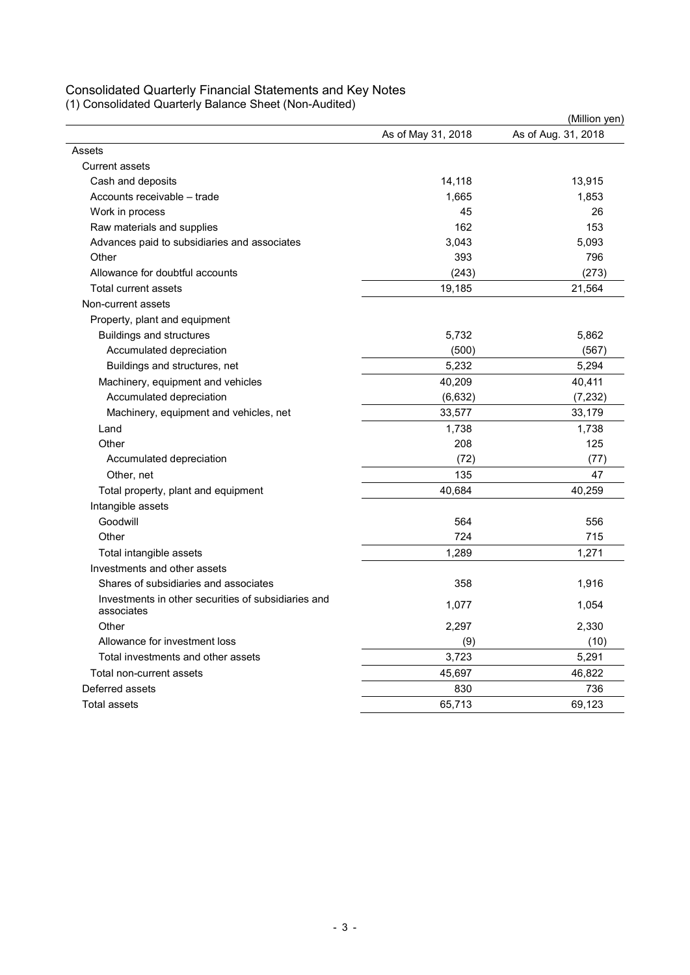## Consolidated Quarterly Financial Statements and Key Notes

(1) Consolidated Quarterly Balance Sheet (Non-Audited)

|                                                                   |                    | (Million yen)       |
|-------------------------------------------------------------------|--------------------|---------------------|
|                                                                   | As of May 31, 2018 | As of Aug. 31, 2018 |
| Assets                                                            |                    |                     |
| <b>Current assets</b>                                             |                    |                     |
| Cash and deposits                                                 | 14,118             | 13,915              |
| Accounts receivable - trade                                       | 1,665              | 1,853               |
| Work in process                                                   | 45                 | 26                  |
| Raw materials and supplies                                        | 162                | 153                 |
| Advances paid to subsidiaries and associates                      | 3,043              | 5,093               |
| Other                                                             | 393                | 796                 |
| Allowance for doubtful accounts                                   | (243)              | (273)               |
| Total current assets                                              | 19,185             | 21,564              |
| Non-current assets                                                |                    |                     |
| Property, plant and equipment                                     |                    |                     |
| <b>Buildings and structures</b>                                   | 5,732              | 5,862               |
| Accumulated depreciation                                          | (500)              | (567)               |
| Buildings and structures, net                                     | 5,232              | 5,294               |
| Machinery, equipment and vehicles                                 | 40,209             | 40,411              |
| Accumulated depreciation                                          | (6,632)            | (7,232)             |
| Machinery, equipment and vehicles, net                            | 33,577             | 33,179              |
| Land                                                              | 1,738              | 1,738               |
| Other                                                             | 208                | 125                 |
| Accumulated depreciation                                          | (72)               | (77)                |
| Other, net                                                        | 135                | 47                  |
| Total property, plant and equipment                               | 40,684             | 40,259              |
| Intangible assets                                                 |                    |                     |
| Goodwill                                                          | 564                | 556                 |
| Other                                                             | 724                | 715                 |
| Total intangible assets                                           | 1,289              | 1,271               |
| Investments and other assets                                      |                    |                     |
| Shares of subsidiaries and associates                             | 358                | 1,916               |
| Investments in other securities of subsidiaries and<br>associates | 1,077              | 1,054               |
| Other                                                             | 2,297              | 2,330               |
| Allowance for investment loss                                     | (9)                | (10)                |
| Total investments and other assets                                | 3,723              | 5,291               |
| Total non-current assets                                          | 45,697             | 46,822              |
| Deferred assets                                                   | 830                | 736                 |
| Total assets                                                      | 65.713             | 69.123              |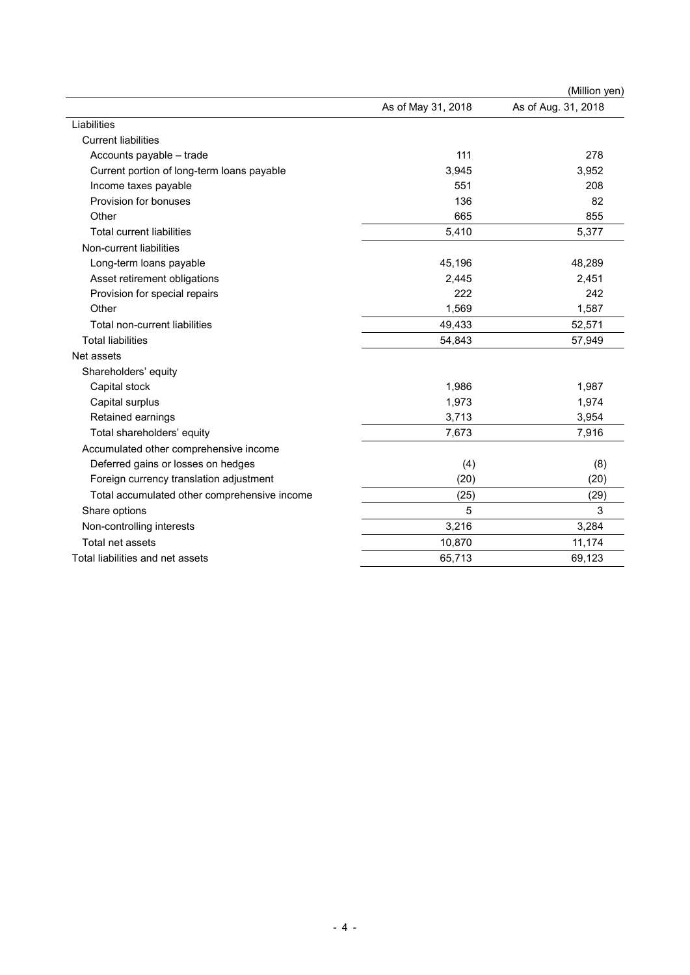|                                              |                    | (Million yen)       |
|----------------------------------------------|--------------------|---------------------|
|                                              | As of May 31, 2018 | As of Aug. 31, 2018 |
| Liabilities                                  |                    |                     |
| <b>Current liabilities</b>                   |                    |                     |
| Accounts payable - trade                     | 111                | 278                 |
| Current portion of long-term loans payable   | 3,945              | 3,952               |
| Income taxes payable                         | 551                | 208                 |
| Provision for bonuses                        | 136                | 82                  |
| Other                                        | 665                | 855                 |
| <b>Total current liabilities</b>             | 5,410              | 5,377               |
| Non-current liabilities                      |                    |                     |
| Long-term loans payable                      | 45,196             | 48,289              |
| Asset retirement obligations                 | 2,445              | 2,451               |
| Provision for special repairs                | 222                | 242                 |
| Other                                        | 1,569              | 1,587               |
| Total non-current liabilities                | 49,433             | 52,571              |
| <b>Total liabilities</b>                     | 54,843             | 57,949              |
| Net assets                                   |                    |                     |
| Shareholders' equity                         |                    |                     |
| Capital stock                                | 1,986              | 1,987               |
| Capital surplus                              | 1,973              | 1,974               |
| Retained earnings                            | 3,713              | 3,954               |
| Total shareholders' equity                   | 7,673              | 7,916               |
| Accumulated other comprehensive income       |                    |                     |
| Deferred gains or losses on hedges           | (4)                | (8)                 |
| Foreign currency translation adjustment      | (20)               | (20)                |
| Total accumulated other comprehensive income | (25)               | (29)                |
| Share options                                | 5                  | 3                   |
| Non-controlling interests                    | 3,216              | 3,284               |
| Total net assets                             | 10,870             | 11,174              |
| Total liabilities and net assets             | 65,713             | 69,123              |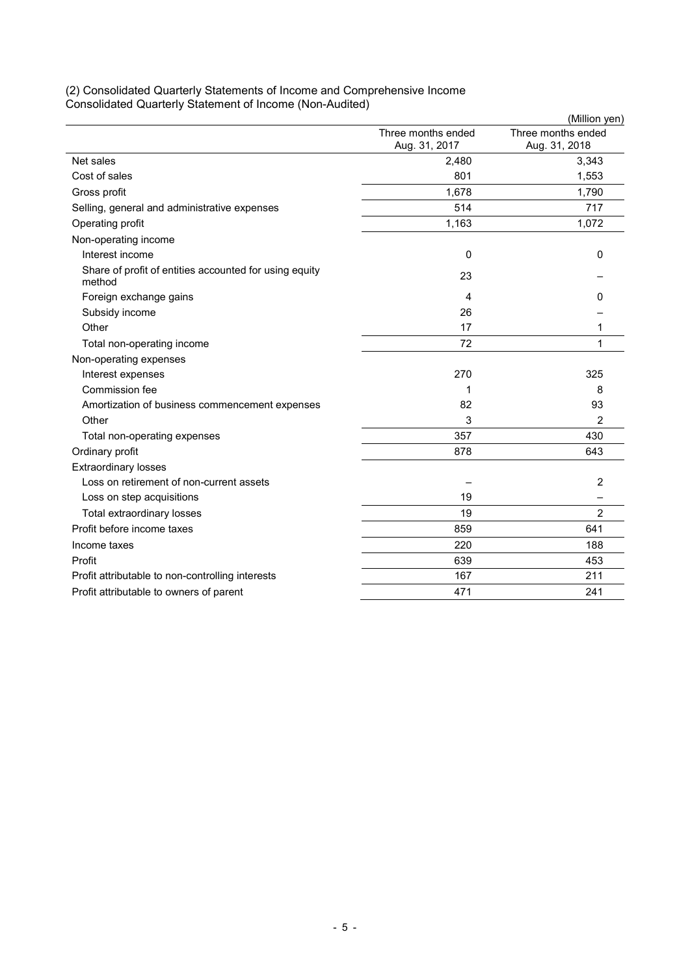|                                                                  |                                     | (Million yen)                       |
|------------------------------------------------------------------|-------------------------------------|-------------------------------------|
|                                                                  | Three months ended<br>Aug. 31, 2017 | Three months ended<br>Aug. 31, 2018 |
| Net sales                                                        | 2,480                               | 3,343                               |
| Cost of sales                                                    | 801                                 | 1,553                               |
| Gross profit                                                     | 1,678                               | 1,790                               |
| Selling, general and administrative expenses                     | 514                                 | 717                                 |
| Operating profit                                                 | 1,163                               | 1,072                               |
| Non-operating income                                             |                                     |                                     |
| Interest income                                                  | 0                                   | 0                                   |
| Share of profit of entities accounted for using equity<br>method | 23                                  |                                     |
| Foreign exchange gains                                           | 4                                   | 0                                   |
| Subsidy income                                                   | 26                                  |                                     |
| Other                                                            | 17                                  | 1                                   |
| Total non-operating income                                       | 72                                  | 1                                   |
| Non-operating expenses                                           |                                     |                                     |
| Interest expenses                                                | 270                                 | 325                                 |
| Commission fee                                                   | 1                                   | 8                                   |
| Amortization of business commencement expenses                   | 82                                  | 93                                  |
| Other                                                            | 3                                   | 2                                   |
| Total non-operating expenses                                     | 357                                 | 430                                 |
| Ordinary profit                                                  | 878                                 | 643                                 |
| <b>Extraordinary losses</b>                                      |                                     |                                     |
| Loss on retirement of non-current assets                         |                                     | 2                                   |
| Loss on step acquisitions                                        | 19                                  |                                     |
| Total extraordinary losses                                       | 19                                  | $\overline{2}$                      |
| Profit before income taxes                                       | 859                                 | 641                                 |
| Income taxes                                                     | 220                                 | 188                                 |
| Profit                                                           | 639                                 | 453                                 |
| Profit attributable to non-controlling interests                 | 167                                 | 211                                 |
| Profit attributable to owners of parent                          | 471                                 | 241                                 |

### (2) Consolidated Quarterly Statements of Income and Comprehensive Income Consolidated Quarterly Statement of Income (Non-Audited)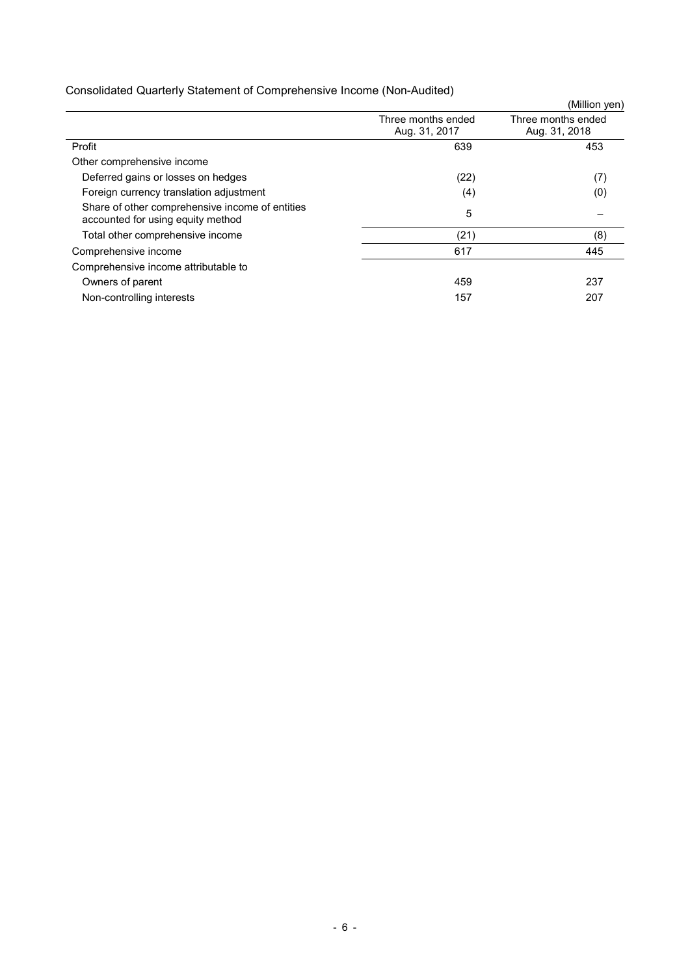|  | Consolidated Quarterly Statement of Comprehensive Income (Non-Audited) |  |
|--|------------------------------------------------------------------------|--|
|--|------------------------------------------------------------------------|--|

|                                                                                      |                                     | (Million yen)                       |
|--------------------------------------------------------------------------------------|-------------------------------------|-------------------------------------|
|                                                                                      | Three months ended<br>Aug. 31, 2017 | Three months ended<br>Aug. 31, 2018 |
| Profit                                                                               | 639                                 | 453                                 |
| Other comprehensive income                                                           |                                     |                                     |
| Deferred gains or losses on hedges                                                   | (22)                                | (7)                                 |
| Foreign currency translation adjustment                                              | (4)                                 | (0)                                 |
| Share of other comprehensive income of entities<br>accounted for using equity method | 5                                   |                                     |
| Total other comprehensive income                                                     | (21)                                | (8)                                 |
| Comprehensive income                                                                 | 617                                 | 445                                 |
| Comprehensive income attributable to                                                 |                                     |                                     |
| Owners of parent                                                                     | 459                                 | 237                                 |
| Non-controlling interests                                                            | 157                                 | 207                                 |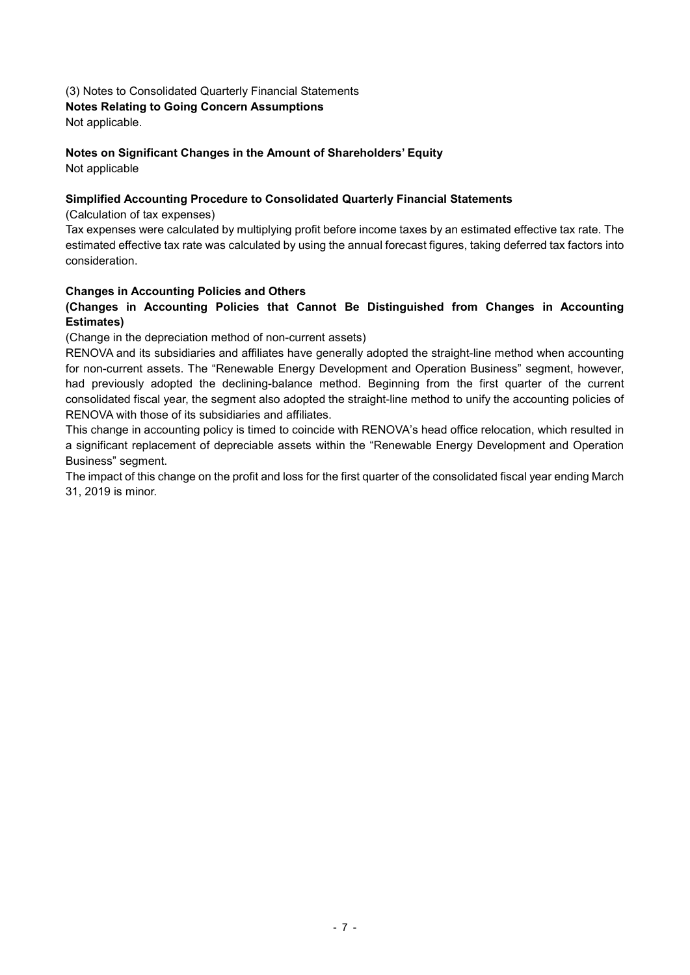### (3) Notes to Consolidated Quarterly Financial Statements Notes Relating to Going Concern Assumptions

Not applicable.

## Notes on Significant Changes in the Amount of Shareholders' Equity

Not applicable

## Simplified Accounting Procedure to Consolidated Quarterly Financial Statements

(Calculation of tax expenses)

Tax expenses were calculated by multiplying profit before income taxes by an estimated effective tax rate. The estimated effective tax rate was calculated by using the annual forecast figures, taking deferred tax factors into consideration.

### Changes in Accounting Policies and Others

### (Changes in Accounting Policies that Cannot Be Distinguished from Changes in Accounting Estimates)

(Change in the depreciation method of non-current assets)

RENOVA and its subsidiaries and affiliates have generally adopted the straight-line method when accounting for non-current assets. The "Renewable Energy Development and Operation Business" segment, however, had previously adopted the declining-balance method. Beginning from the first quarter of the current consolidated fiscal year, the segment also adopted the straight-line method to unify the accounting policies of RENOVA with those of its subsidiaries and affiliates.

This change in accounting policy is timed to coincide with RENOVA's head office relocation, which resulted in a significant replacement of depreciable assets within the "Renewable Energy Development and Operation Business" segment.

The impact of this change on the profit and loss for the first quarter of the consolidated fiscal year ending March 31, 2019 is minor.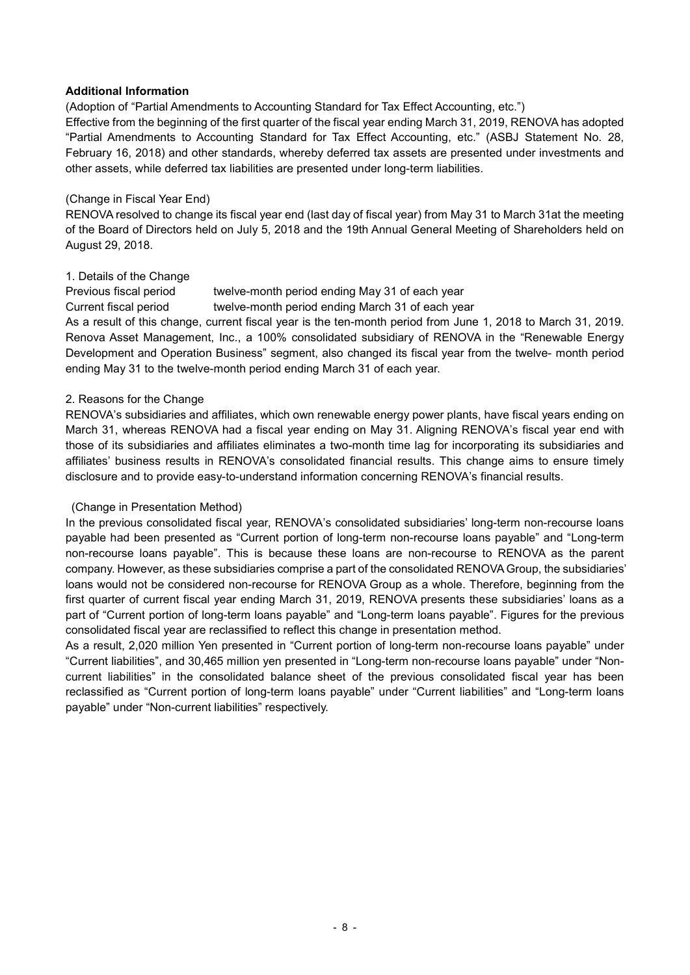### Additional Information

(Adoption of "Partial Amendments to Accounting Standard for Tax Effect Accounting, etc.")

Effective from the beginning of the first quarter of the fiscal year ending March 31, 2019, RENOVA has adopted "Partial Amendments to Accounting Standard for Tax Effect Accounting, etc." (ASBJ Statement No. 28, February 16, 2018) and other standards, whereby deferred tax assets are presented under investments and other assets, while deferred tax liabilities are presented under long-term liabilities.

### (Change in Fiscal Year End)

RENOVA resolved to change its fiscal year end (last day of fiscal year) from May 31 to March 31at the meeting of the Board of Directors held on July 5, 2018 and the 19th Annual General Meeting of Shareholders held on August 29, 2018.

### 1. Details of the Change

Previous fiscal period twelve-month period ending May 31 of each year

Current fiscal period twelve-month period ending March 31 of each year

As a result of this change, current fiscal year is the ten-month period from June 1, 2018 to March 31, 2019. Renova Asset Management, Inc., a 100% consolidated subsidiary of RENOVA in the "Renewable Energy Development and Operation Business" segment, also changed its fiscal year from the twelve- month period ending May 31 to the twelve-month period ending March 31 of each year.

### 2. Reasons for the Change

RENOVA's subsidiaries and affiliates, which own renewable energy power plants, have fiscal years ending on March 31, whereas RENOVA had a fiscal year ending on May 31. Aligning RENOVA's fiscal year end with those of its subsidiaries and affiliates eliminates a two-month time lag for incorporating its subsidiaries and affiliates' business results in RENOVA's consolidated financial results. This change aims to ensure timely disclosure and to provide easy-to-understand information concerning RENOVA's financial results.

### (Change in Presentation Method)

In the previous consolidated fiscal year, RENOVA's consolidated subsidiaries' long-term non-recourse loans payable had been presented as "Current portion of long-term non-recourse loans payable" and "Long-term non-recourse loans payable". This is because these loans are non-recourse to RENOVA as the parent company. However, as these subsidiaries comprise a part of the consolidated RENOVA Group, the subsidiaries' loans would not be considered non-recourse for RENOVA Group as a whole. Therefore, beginning from the first quarter of current fiscal year ending March 31, 2019, RENOVA presents these subsidiaries' loans as a part of "Current portion of long-term loans payable" and "Long-term loans payable". Figures for the previous consolidated fiscal year are reclassified to reflect this change in presentation method.

As a result, 2,020 million Yen presented in "Current portion of long-term non-recourse loans payable" under "Current liabilities", and 30,465 million yen presented in "Long-term non-recourse loans payable" under "Noncurrent liabilities" in the consolidated balance sheet of the previous consolidated fiscal year has been reclassified as "Current portion of long-term loans payable" under "Current liabilities" and "Long-term loans payable" under "Non-current liabilities" respectively.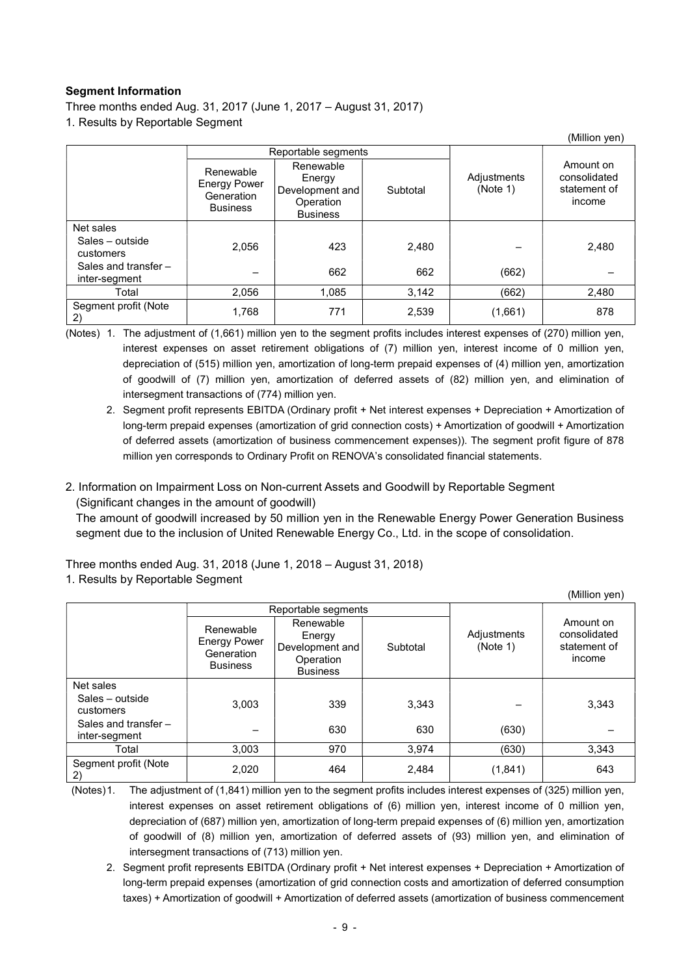### Segment Information

Three months ended Aug. 31, 2017 (June 1, 2017 – August 31, 2017)

1. Results by Reportable Segment

|                                         |                                                                   |                                                                        |          |                         | (Million yen)                                       |
|-----------------------------------------|-------------------------------------------------------------------|------------------------------------------------------------------------|----------|-------------------------|-----------------------------------------------------|
|                                         | Reportable segments                                               |                                                                        |          |                         |                                                     |
|                                         | Renewable<br><b>Energy Power</b><br>Generation<br><b>Business</b> | Renewable<br>Energy<br>Development and<br>Operation<br><b>Business</b> | Subtotal | Adjustments<br>(Note 1) | Amount on<br>consolidated<br>statement of<br>income |
| Net sales                               |                                                                   |                                                                        |          |                         |                                                     |
| Sales - outside<br>customers            | 2.056                                                             | 423                                                                    | 2,480    |                         | 2,480                                               |
| Sales and transfer $-$<br>inter-segment |                                                                   | 662                                                                    | 662      | (662)                   |                                                     |
| Total                                   | 2,056                                                             | 1,085                                                                  | 3,142    | (662)                   | 2,480                                               |
| Segment profit (Note<br>(2)             | 1,768                                                             | 771                                                                    | 2,539    | (1,661)                 | 878                                                 |

(Notes) 1. The adjustment of (1,661) million yen to the segment profits includes interest expenses of (270) million yen, interest expenses on asset retirement obligations of (7) million yen, interest income of 0 million yen, depreciation of (515) million yen, amortization of long-term prepaid expenses of (4) million yen, amortization of goodwill of (7) million yen, amortization of deferred assets of (82) million yen, and elimination of intersegment transactions of (774) million yen.

- 2. Segment profit represents EBITDA (Ordinary profit + Net interest expenses + Depreciation + Amortization of long-term prepaid expenses (amortization of grid connection costs) + Amortization of goodwill + Amortization of deferred assets (amortization of business commencement expenses)). The segment profit figure of 878 million yen corresponds to Ordinary Profit on RENOVA's consolidated financial statements.
- 2. Information on Impairment Loss on Non-current Assets and Goodwill by Reportable Segment (Significant changes in the amount of goodwill)

The amount of goodwill increased by 50 million yen in the Renewable Energy Power Generation Business segment due to the inclusion of United Renewable Energy Co., Ltd. in the scope of consolidation.

(Million yen)

Three months ended Aug. 31, 2018 (June 1, 2018 – August 31, 2018)

## 1. Results by Reportable Segment

|                                         | Reportable segments                                               |                                                                        |          |                         |                                                     |
|-----------------------------------------|-------------------------------------------------------------------|------------------------------------------------------------------------|----------|-------------------------|-----------------------------------------------------|
|                                         | Renewable<br><b>Energy Power</b><br>Generation<br><b>Business</b> | Renewable<br>Energy<br>Development and<br>Operation<br><b>Business</b> | Subtotal | Adjustments<br>(Note 1) | Amount on<br>consolidated<br>statement of<br>income |
| Net sales                               |                                                                   |                                                                        |          |                         |                                                     |
| Sales - outside<br>customers            | 3.003                                                             | 339                                                                    | 3,343    |                         | 3,343                                               |
| Sales and transfer $-$<br>inter-segment |                                                                   | 630                                                                    | 630      | (630)                   |                                                     |
| Total                                   | 3,003                                                             | 970                                                                    | 3,974    | (630)                   | 3,343                                               |
| Segment profit (Note<br>2)              | 2,020                                                             | 464                                                                    | 2,484    | (1, 841)                | 643                                                 |

(Notes) 1. The adjustment of (1,841) million yen to the segment profits includes interest expenses of (325) million yen, interest expenses on asset retirement obligations of (6) million yen, interest income of 0 million yen, depreciation of (687) million yen, amortization of long-term prepaid expenses of (6) million yen, amortization of goodwill of (8) million yen, amortization of deferred assets of (93) million yen, and elimination of intersegment transactions of (713) million yen.

 2. Segment profit represents EBITDA (Ordinary profit + Net interest expenses + Depreciation + Amortization of long-term prepaid expenses (amortization of grid connection costs and amortization of deferred consumption taxes) + Amortization of goodwill + Amortization of deferred assets (amortization of business commencement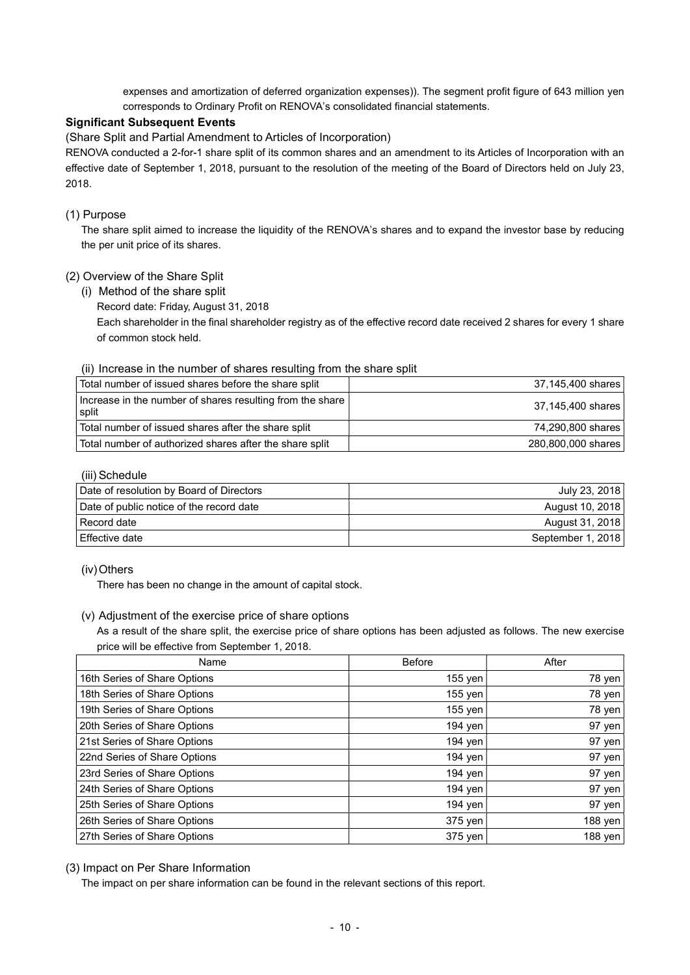expenses and amortization of deferred organization expenses)). The segment profit figure of 643 million yen corresponds to Ordinary Profit on RENOVA's consolidated financial statements.

#### Significant Subsequent Events

(Share Split and Partial Amendment to Articles of Incorporation)

RENOVA conducted a 2-for-1 share split of its common shares and an amendment to its Articles of Incorporation with an effective date of September 1, 2018, pursuant to the resolution of the meeting of the Board of Directors held on July 23, 2018.

#### (1) Purpose

The share split aimed to increase the liquidity of the RENOVA's shares and to expand the investor base by reducing the per unit price of its shares.

#### (2) Overview of the Share Split

(i) Method of the share split

Record date: Friday, August 31, 2018

Each shareholder in the final shareholder registry as of the effective record date received 2 shares for every 1 share of common stock held.

#### (ii) Increase in the number of shares resulting from the share split

| Total number of issued shares before the share split               | 37,145,400 shares  |
|--------------------------------------------------------------------|--------------------|
| Increase in the number of shares resulting from the share<br>split | 37,145,400 shares  |
| Total number of issued shares after the share split                | 74,290,800 shares  |
| Total number of authorized shares after the share split            | 280,800,000 shares |

#### (iii) Schedule

| Date of resolution by Board of Directors | July 23, 2018     |
|------------------------------------------|-------------------|
| Date of public notice of the record date | August 10, 2018   |
| Record date                              | August 31, 2018   |
| Effective date                           | September 1, 2018 |

#### (iv) Others

There has been no change in the amount of capital stock.

#### (v) Adjustment of the exercise price of share options

As a result of the share split, the exercise price of share options has been adjusted as follows. The new exercise price will be effective from September 1, 2018.

| Name                         | <b>Before</b> | After   |
|------------------------------|---------------|---------|
| 16th Series of Share Options | 155 yen       | 78 yen  |
| 18th Series of Share Options | 155 yen l     | 78 yen  |
| 19th Series of Share Options | 155 yen l     | 78 yen  |
| 20th Series of Share Options | 194 yen       | 97 yen  |
| 21st Series of Share Options | 194 yen       | 97 yen  |
| 22nd Series of Share Options | 194 yen       | 97 yen  |
| 23rd Series of Share Options | 194 yen       | 97 yen  |
| 24th Series of Share Options | 194 yen       | 97 yen  |
| 25th Series of Share Options | 194 yen       | 97 yen  |
| 26th Series of Share Options | 375 yen       | 188 yen |
| 27th Series of Share Options | 375 yen       | 188 yen |

#### (3) Impact on Per Share Information

The impact on per share information can be found in the relevant sections of this report.